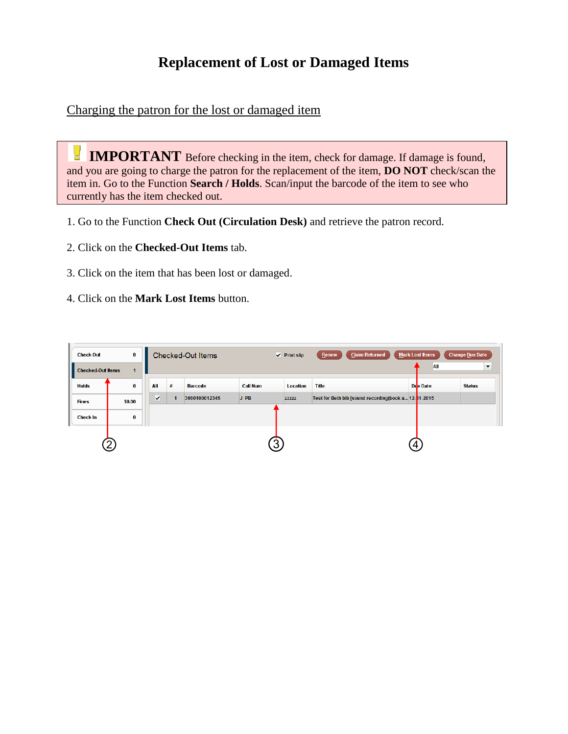## **Replacement of Lost or Damaged Items**

Charging the patron for the lost or damaged item

 $\overline{\phantom{a}}$ **IMPORTANT** Before checking in the item, check for damage. If damage is found, and you are going to charge the patron for the replacement of the item, **DO NOT** check/scan the item in. Go to the Function **Search / Holds**. Scan/input the barcode of the item to see who currently has the item checked out.

- 1. Go to the Function **Check Out (Circulation Desk)** and retrieve the patron record.
- 2. Click on the **Checked-Out Items** tab.
- 3. Click on the item that has been lost or damaged.
- 4. Click on the **Mark Lost Items** button.

| <b>Check Out</b>         | 0              |              |      | <b>Checked-Out Items</b> |          | $\sqrt{ }$ Print slip | <b>Claim Returned</b><br>Renew                       | <b>Mark Lost Items</b> | <b>Change Due Date</b>          |
|--------------------------|----------------|--------------|------|--------------------------|----------|-----------------------|------------------------------------------------------|------------------------|---------------------------------|
| <b>Checked-Out Items</b> | $\mathbf{1}$   |              |      |                          |          |                       |                                                      |                        | All<br>$\overline{\phantom{a}}$ |
| <b>Holds</b>             | $\bf{0}$       | All          | $\#$ | Barcode                  | Call Num | Location              | Title                                                | Due Date               | <b>Status</b>                   |
| <b>Fines</b>             | \$0.00         | $\checkmark$ |      | 3660100012345            | $J$ PB   | zzzzz                 | Test for Beth bib [sound recording(book a 12-31-2015 |                        |                                 |
| Check In                 | $\bf{0}$       |              |      |                          |          |                       |                                                      |                        |                                 |
|                          | $\overline{2}$ |              |      |                          | 3        |                       |                                                      | 4                      |                                 |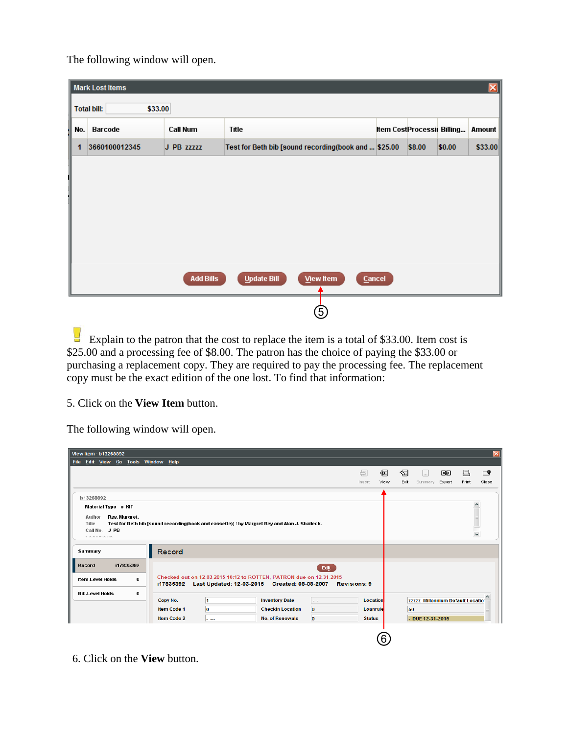The following window will open.

|     | <b>Mark Lost Items</b>        |                  |                                                      |                            |        |        | ×       |  |  |  |
|-----|-------------------------------|------------------|------------------------------------------------------|----------------------------|--------|--------|---------|--|--|--|
|     | \$33.00<br><b>Total bill:</b> |                  |                                                      |                            |        |        |         |  |  |  |
| No. | Barcode                       | Call Num         | Title                                                | Item CostProcessii Billing |        |        | Amount  |  |  |  |
| 1   | 3660100012345                 | J PB ZZZZZ       | Test for Beth bib [sound recording(book and  \$25.00 |                            | \$8.00 | \$0.00 | \$33.00 |  |  |  |
|     |                               |                  |                                                      |                            |        |        |         |  |  |  |
|     |                               |                  |                                                      |                            |        |        |         |  |  |  |
|     |                               |                  |                                                      |                            |        |        |         |  |  |  |
|     |                               |                  |                                                      |                            |        |        |         |  |  |  |
|     |                               |                  |                                                      |                            |        |        |         |  |  |  |
|     |                               |                  |                                                      |                            |        |        |         |  |  |  |
|     |                               | <b>Add Bills</b> | <b>Update Bill</b><br><b>View Item</b>               | Cancel                     |        |        |         |  |  |  |
|     |                               |                  |                                                      |                            |        |        |         |  |  |  |
|     |                               |                  | (5)                                                  |                            |        |        |         |  |  |  |

Explain to the patron that the cost to replace the item is a total of \$33.00. Item cost is \$25.00 and a processing fee of \$8.00. The patron has the choice of paying the \$33.00 or purchasing a replacement copy. They are required to pay the processing fee. The replacement copy must be the exact edition of the one lost. To find that information:

5. Click on the **View Item** button.

The following window will open.

| View Item · b13268892               |                    |          |                                                                                                                                                     |              |                 |      |      |                                  |        |       | $\vert \mathsf{x} \vert$ |
|-------------------------------------|--------------------|----------|-----------------------------------------------------------------------------------------------------------------------------------------------------|--------------|-----------------|------|------|----------------------------------|--------|-------|--------------------------|
| Eile Edit View Go Tools Window Help |                    |          |                                                                                                                                                     |              |                 |      |      |                                  |        |       |                          |
|                                     |                    |          |                                                                                                                                                     |              | 匮               | 图    | 倡    | $\vert \ldots \vert$             | 岡      | 昌     | ≌⊡                       |
|                                     |                    |          |                                                                                                                                                     |              | Insert          | View | Edit | Summary                          | Export | Print | Close                    |
|                                     |                    |          |                                                                                                                                                     |              |                 |      |      |                                  |        |       |                          |
| b13268892                           |                    |          |                                                                                                                                                     |              |                 |      |      |                                  |        |       |                          |
| Material Type o KIT                 |                    |          |                                                                                                                                                     |              |                 |      |      |                                  |        |       | $\rightsquigarrow$       |
| Rey, Margret.<br>Author             |                    |          |                                                                                                                                                     |              |                 |      |      |                                  |        |       |                          |
| Title                               |                    |          | Test for Beth bib [sound recording(book and cassette)] / by Margret Rey and Alan J. Shalleck.                                                       |              |                 |      |      |                                  |        |       |                          |
| Call No. J PB<br>1.00000000000      |                    |          |                                                                                                                                                     |              |                 |      |      |                                  |        |       | $\checkmark$             |
|                                     |                    |          |                                                                                                                                                     |              |                 |      |      |                                  |        |       |                          |
| Summary                             | Record             |          |                                                                                                                                                     |              |                 |      |      |                                  |        |       |                          |
| i17835392<br>Record                 |                    |          |                                                                                                                                                     |              |                 |      |      |                                  |        |       |                          |
|                                     |                    |          |                                                                                                                                                     | Edit         |                 |      |      |                                  |        |       |                          |
| <b>Item-Level Holds</b><br>$\bf{0}$ |                    |          | Checked out on 12-03-2015 10:12 to ROTTEN, PATRON due on 12-31-2015<br>i17835392    Last Updated: 12-03-2015    Created: 08-08-2007    Revisions: 9 |              |                 |      |      |                                  |        |       |                          |
| <b>Bib-Level Holds</b><br>0         |                    |          |                                                                                                                                                     |              |                 |      |      |                                  |        |       |                          |
|                                     | Copy No.           | 1        | <b>Inventory Date</b>                                                                                                                               | <b>L</b> .   | <b>Location</b> |      |      | zzzzz Millennium Default Locatio |        |       |                          |
|                                     | <b>Item Code 1</b> | $\bf{0}$ | <b>Checkin Location</b>                                                                                                                             | $\bf{0}$     | Loanrule        |      | 50   |                                  |        |       |                          |
|                                     | <b>Item Code 2</b> | سيدان    | <b>No. of Renewals</b>                                                                                                                              | $\mathbf{0}$ | <b>Status</b>   |      |      | $-$ DUE 12-31-2015               |        |       |                          |
|                                     |                    |          |                                                                                                                                                     |              |                 |      |      |                                  |        |       |                          |
|                                     |                    |          |                                                                                                                                                     |              |                 | 6    |      |                                  |        |       |                          |
|                                     |                    |          |                                                                                                                                                     |              |                 |      |      |                                  |        |       |                          |

6. Click on the **View** button.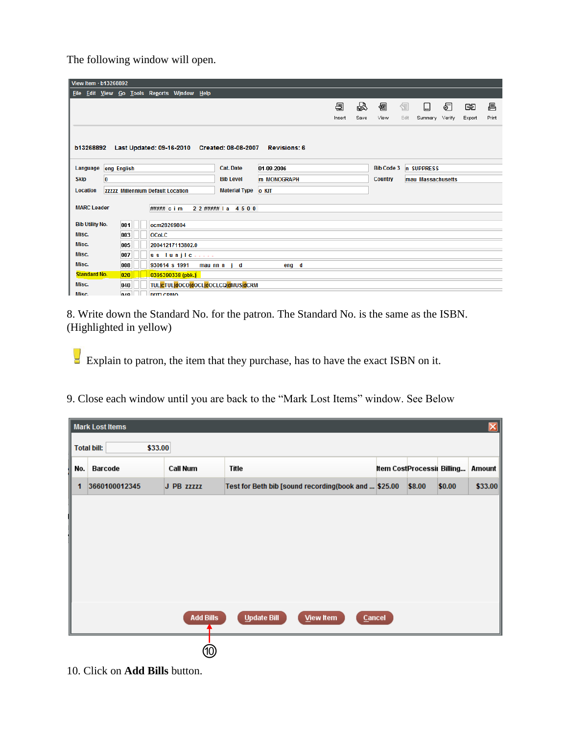The following window will open.

| View Item · b13268892  |             |      |                                          |                     |              |                                              |                     |  |        |      |                   |      |                         |        |        |       |
|------------------------|-------------|------|------------------------------------------|---------------------|--------------|----------------------------------------------|---------------------|--|--------|------|-------------------|------|-------------------------|--------|--------|-------|
| <b>File</b>            |             |      | Edit View Go Tools Reports Window Help   |                     |              |                                              |                     |  |        |      |                   |      |                         |        |        |       |
|                        |             |      |                                          |                     |              |                                              |                     |  | 圄      | 喦    | 好                 | 絙    | $\left  \ldots \right $ | €      | 岡      | 昌     |
|                        |             |      |                                          |                     |              |                                              |                     |  | Insert | Save | View              | Edit | Summary                 | Verify | Export | Print |
|                        |             |      |                                          |                     |              |                                              |                     |  |        |      |                   |      |                         |        |        |       |
|                        |             |      |                                          |                     |              |                                              |                     |  |        |      |                   |      |                         |        |        |       |
| b13268892              |             |      |                                          |                     |              | Last Updated: 09-16-2010 Created: 08-08-2007 | <b>Revisions: 6</b> |  |        |      |                   |      |                         |        |        |       |
| Language               | eng English |      |                                          |                     |              | <b>Cat. Date</b>                             | 01-09-2006          |  |        |      | <b>Bib Code 3</b> |      | n SUPPRESS              |        |        |       |
| <b>Skip</b>            | 0           |      |                                          |                     |              | <b>Bib Level</b>                             | <b>m MONOGRAPH</b>  |  |        |      | <b>Country</b>    |      | mau Massachusetts       |        |        |       |
| <b>Location</b>        |             |      | <b>ZZZZZ</b> Millennium Default Location |                     |              | <b>Material Type</b>                         | o KIT               |  |        |      |                   |      |                         |        |        |       |
|                        |             |      |                                          |                     |              |                                              |                     |  |        |      |                   |      |                         |        |        |       |
| <b>MARC Leader</b>     |             |      | ##### c i m                              |                     |              | 2 2 #####   a 4 5 0 0                        |                     |  |        |      |                   |      |                         |        |        |       |
| <b>Bib Utility No.</b> |             | 001  | ocm28269804                              |                     |              |                                              |                     |  |        |      |                   |      |                         |        |        |       |
| Misc.                  |             | 003  | <b>OCoLC</b>                             |                     |              |                                              |                     |  |        |      |                   |      |                         |        |        |       |
| Misc.                  |             | 005  |                                          | 20041217113802.0    |              |                                              |                     |  |        |      |                   |      |                         |        |        |       |
| Misc.                  |             | 007  |                                          | $ss$ lunjic $   -$  |              |                                              |                     |  |        |      |                   |      |                         |        |        |       |
| Misc.                  |             | 008  | 930614 s 1991                            |                     | mau nn n i d |                                              | eng d               |  |        |      |                   |      |                         |        |        |       |
| <b>Standard No.</b>    |             | 020  |                                          | 0395390338 (pbk.)   |              |                                              |                     |  |        |      |                   |      |                         |        |        |       |
| Misc.                  |             | 040  |                                          |                     |              | <b>TULICTULIdOCOIdOCLIdOCLCQIdMUSIdCRM</b>   |                     |  |        |      |                   |      |                         |        |        |       |
| Misc.                  |             | nan. |                                          | <b>FIGITI CRAIN</b> |              |                                              |                     |  |        |      |                   |      |                         |        |        |       |

8. Write down the Standard No. for the patron. The Standard No. is the same as the ISBN. (Highlighted in yellow)

Explain to patron, the item that they purchase, has to have the exact ISBN on it.

9. Close each window until you are back to the "Mark Lost Items" window. See Below

|                               | <b>Mark Lost Items</b> |                  |                                                      |                            |        |        | $\mathbf{x}$ |  |
|-------------------------------|------------------------|------------------|------------------------------------------------------|----------------------------|--------|--------|--------------|--|
| \$33.00<br><b>Total bill:</b> |                        |                  |                                                      |                            |        |        |              |  |
| No.                           | Barcode                | Call Num         | Title                                                | Item Cost Processi Billing |        |        | Amount       |  |
| 1                             | 3660100012345          | J PB ZZZZZ       | Test for Beth bib [sound recording(book and  \$25.00 |                            | \$8.00 | \$0.00 | \$33.00      |  |
|                               |                        |                  |                                                      |                            |        |        |              |  |
|                               |                        |                  |                                                      |                            |        |        |              |  |
|                               |                        |                  |                                                      |                            |        |        |              |  |
|                               |                        |                  |                                                      |                            |        |        |              |  |
|                               |                        |                  |                                                      |                            |        |        |              |  |
|                               |                        |                  |                                                      |                            |        |        |              |  |
|                               |                        | <b>Add Bills</b> | <b>Update Bill</b><br><b>View Item</b>               | <b>Cancel</b>              |        |        |              |  |
|                               |                        |                  |                                                      |                            |        |        |              |  |
|                               |                        | 10               |                                                      |                            |        |        |              |  |

10. Click on **Add Bills** button.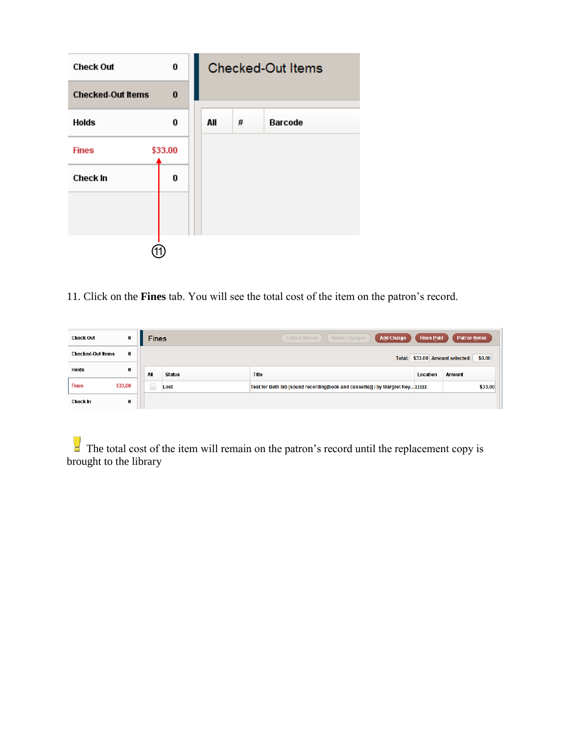

11. Click on the **Fines** tab. You will see the total cost of the item on the patron's record.

| $\bf{0}$<br><b>Check Out</b>         | <b>Fines</b> |               | <b>Add Charge</b><br>Waive Charges<br><b>Collect Money</b>                    | <b>Fines Paid</b> | <b>Patron Notes</b>                       |
|--------------------------------------|--------------|---------------|-------------------------------------------------------------------------------|-------------------|-------------------------------------------|
| $\bf{0}$<br><b>Checked-Out Items</b> |              |               |                                                                               |                   | \$0.00<br>Total: \$33.00 Amount selected: |
| 0<br><b>Holds</b>                    | AII          | <b>Status</b> | Title                                                                         | Location          | Amount                                    |
| <b>Fines</b><br>\$33.00              |              | Lost          | Test for Beth bib [sound recording(book and cassette)] / by Margret Rey ZZZZZ |                   | \$33.00                                   |
| 0<br>Check In                        |              |               |                                                                               |                   |                                           |

 $\Box$  The total cost of the item will remain on the patron's record until the replacement copy is brought to the library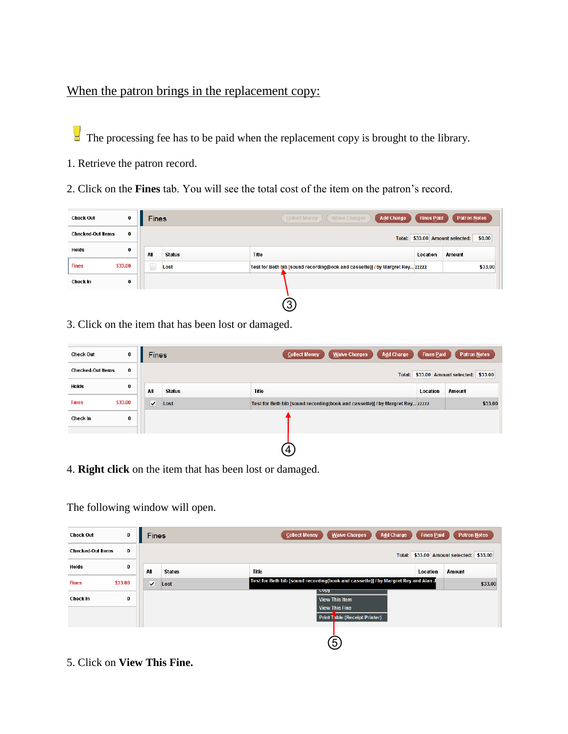## When the patron brings in the replacement copy:

The processing fee has to be paid when the replacement copy is brought to the library.

- 1. Retrieve the patron record.
- 2. Click on the **Fines** tab. You will see the total cost of the item on the patron's record.

| <b>Check Out</b>         | $\bf{0}$ | <b>Fines</b>             |               | <b>Add Charge</b><br><b>Collect Money</b><br>Waive Charges                    | <b>Fines Paid</b> | <b>Patron Notes</b>                       |
|--------------------------|----------|--------------------------|---------------|-------------------------------------------------------------------------------|-------------------|-------------------------------------------|
| <b>Checked-Out Items</b> | 0        |                          |               |                                                                               |                   | Total: \$33.00 Amount selected:<br>\$0.00 |
| <b>Holds</b>             | 0        | All                      | <b>Status</b> | Title                                                                         | Location          | Amount                                    |
| <b>Fines</b>             | \$33.00  | $\overline{\phantom{a}}$ | Lost          | Test for Beth bib [sound recording(book and cassette)] / by Margret Rey zzzzz |                   | \$33.00                                   |
| Check In                 | 0        |                          |               |                                                                               |                   |                                           |
|                          |          |                          |               | $\left(3\right)$                                                              |                   |                                           |

3. Click on the item that has been lost or damaged.

| <b>Check Out</b>         | 0        | <b>Fines</b> |               | <b>Collect Money</b><br><b>Waive Charges</b><br>Add Charge                    | <b>Fines Paid</b> | <b>Patron Notes</b>                     |
|--------------------------|----------|--------------|---------------|-------------------------------------------------------------------------------|-------------------|-----------------------------------------|
| <b>Checked-Out Items</b> | $\bf{0}$ |              |               |                                                                               |                   | Total: \$33.00 Amount selected: \$33.00 |
| Holds                    | 0        | All          | <b>Status</b> | Title                                                                         | Location          | Amount                                  |
| <b>Fines</b>             | \$33.00  | ◡            | Lost          | Test for Beth bib [sound recording(book and cassette)] / by Margret Rey 22222 |                   | \$33.00                                 |
| Check in                 | 0        |              |               |                                                                               |                   |                                         |
|                          |          |              |               | 4.                                                                            |                   |                                         |

4. **Right click** on the item that has been lost or damaged.

The following window will open.

| 0<br><b>Check Out</b>         | <b>Fines</b>            |               | <b>Waive Charges</b><br><b>Collect Money</b><br><b>Add Charge</b>                              | <b>Fines Paid</b> | <b>Patron Notes</b>                     |
|-------------------------------|-------------------------|---------------|------------------------------------------------------------------------------------------------|-------------------|-----------------------------------------|
| 0<br><b>Checked Out Items</b> |                         |               |                                                                                                |                   | Total: \$33.00 Amount selected: \$33.00 |
| 0<br>Holds                    | All                     | <b>Status</b> | Title                                                                                          | Location          | Amount                                  |
| \$33.00<br><b>Fines</b>       | $\overline{\mathbf{v}}$ | Lost          | Test for Beth bib [sound recording(book and cassette)] / by Margret Rey and Alan J             |                   | \$33.00                                 |
| Check In<br>0                 |                         |               | <b>COPY</b><br><b>View This Item</b><br><b>View This Fine</b><br>Print Table (Receipt Printer) |                   |                                         |
|                               |                         |               | (5)                                                                                            |                   |                                         |

5. Click on **View This Fine.**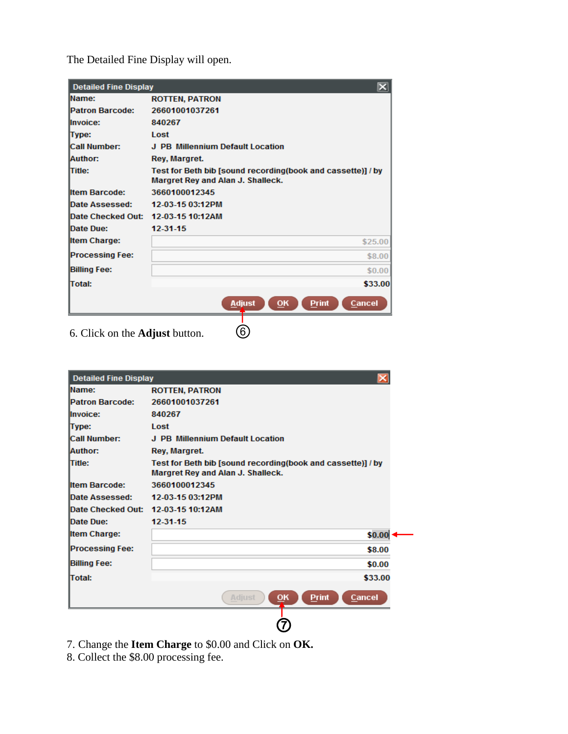The Detailed Fine Display will open.

| <b>Detailed Fine Display</b>       | $\vert\mathsf{x}\vert$                                                                           |
|------------------------------------|--------------------------------------------------------------------------------------------------|
| Name:                              | <b>ROTTEN, PATRON</b>                                                                            |
| Patron Barcode:                    | 26601001037261                                                                                   |
| <b>Ilnvoice:</b>                   | 840267                                                                                           |
| Type:                              | Lost                                                                                             |
| <b>Call Number:</b>                | J. PB. Millennium Default Location                                                               |
| Author:                            | Rey, Margret.                                                                                    |
| <b>Title:</b>                      | Test for Beth bib [sound recording(book and cassette)] / by<br>Margret Rey and Alan J. Shalleck. |
| <b>Item Barcode:</b>               | 3660100012345                                                                                    |
| Date Assessed:                     | 12-03-15 03:12PM                                                                                 |
| Date Checked Out: 12-03-15 10:12AM |                                                                                                  |
| Date Due:                          | 12-31-15                                                                                         |
| <b>Item Charge:</b>                | \$25.00                                                                                          |
| <b>Processing Fee:</b>             | \$8.00                                                                                           |
| <b>Billing Fee:</b>                | \$0.00                                                                                           |
| <b>Total:</b>                      | \$33.00                                                                                          |
|                                    | <b>Adjust</b><br>Cancel<br>OK<br><b>Print</b>                                                    |
|                                    | ົດ                                                                                               |

6. Click on the **Adjust** button. ⑥

| <b>Detailed Fine Display</b> |                                                                                                  |
|------------------------------|--------------------------------------------------------------------------------------------------|
| <b>IName:</b>                | <b>ROTTEN, PATRON</b>                                                                            |
| <b>IPatron Barcode:</b>      | 26601001037261                                                                                   |
| <b>Invoice:</b>              | 840267                                                                                           |
| Type:                        | Lost                                                                                             |
| <b>Call Number:</b>          | J PB Millennium Default Location                                                                 |
| Author:                      | Rey, Margret.                                                                                    |
| <b>Title:</b>                | Test for Beth bib [sound recording(book and cassette)] / by<br>Margret Rey and Alan J. Shalleck. |
| <b>Iltem Barcode:</b>        | 3660100012345                                                                                    |
| Date Assessed:               | 12-03-15 03:12PM                                                                                 |
| <b>Date Checked Out:</b>     | 12-03-15 10:12AM                                                                                 |
| Date Due:                    | 12-31-15                                                                                         |
| <b>Item Charge:</b>          | \$0.00                                                                                           |
| <b>Processing Fee:</b>       | \$8.00                                                                                           |
| <b>Billing Fee:</b>          | \$0.00                                                                                           |
| <b>Total:</b>                | \$33.00                                                                                          |
|                              | Adjust<br>Cancel<br>$\overline{\mathsf{O}}$ K<br><b>Print</b>                                    |
|                              |                                                                                                  |

7. Change the **Item Charge** to \$0.00 and Click on **OK.** 

8. Collect the \$8.00 processing fee.